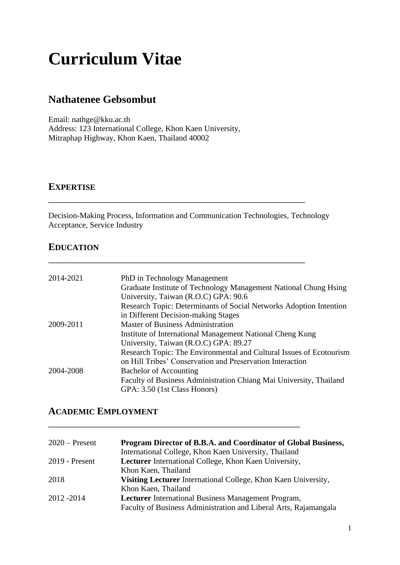# **Curriculum Vitae**

# **Nathatenee Gebsombut**

Email: nathge@kku.ac.th Address: 123 International College, Khon Kaen University, Mitraphap Highway, Khon Kaen, Thailand 40002

#### **EXPERTISE**

Decision-Making Process, Information and Communication Technologies, Technology Acceptance, Service Industry

\_\_\_\_\_\_\_\_\_\_\_\_\_\_\_\_\_\_\_\_\_\_\_\_\_\_\_\_\_\_\_\_\_\_\_\_\_\_\_\_\_\_\_\_\_\_\_\_\_\_\_

\_\_\_\_\_\_\_\_\_\_\_\_\_\_\_\_\_\_\_\_\_\_\_\_\_\_\_\_\_\_\_\_\_\_\_\_\_\_\_\_\_\_\_\_\_\_\_\_\_\_\_

## **EDUCATION**

| 2014-2021 | PhD in Technology Management                                        |
|-----------|---------------------------------------------------------------------|
|           | Graduate Institute of Technology Management National Chung Hsing    |
|           | University, Taiwan (R.O.C) GPA: 90.6                                |
|           | Research Topic: Determinants of Social Networks Adoption Intention  |
|           | in Different Decision-making Stages                                 |
| 2009-2011 | <b>Master of Business Administration</b>                            |
|           | Institute of International Management National Cheng Kung           |
|           | University, Taiwan (R.O.C) GPA: 89.27                               |
|           | Research Topic: The Environmental and Cultural Issues of Ecotourism |
|           | on Hill Tribes' Conservation and Preservation Interaction           |
| 2004-2008 | <b>Bachelor of Accounting</b>                                       |
|           | Faculty of Business Administration Chiang Mai University, Thailand  |
|           | GPA: 3.50 (1st Class Honors)                                        |

# **ACADEMIC EMPLOYMENT**

| $2020$ – Present | Program Director of B.B.A. and Coordinator of Global Business,   |
|------------------|------------------------------------------------------------------|
|                  | International College, Khon Kaen University, Thailand            |
| $2019$ - Present | Lecturer International College, Khon Kaen University,            |
|                  | Khon Kaen, Thailand                                              |
| 2018             | Visiting Lecturer International College, Khon Kaen University,   |
|                  | Khon Kaen, Thailand                                              |
| 2012 - 2014      | <b>Lecturer</b> International Business Management Program,       |
|                  | Faculty of Business Administration and Liberal Arts, Rajamangala |

\_\_\_\_\_\_\_\_\_\_\_\_\_\_\_\_\_\_\_\_\_\_\_\_\_\_\_\_\_\_\_\_\_\_\_\_\_\_\_\_\_\_\_\_\_\_\_\_\_\_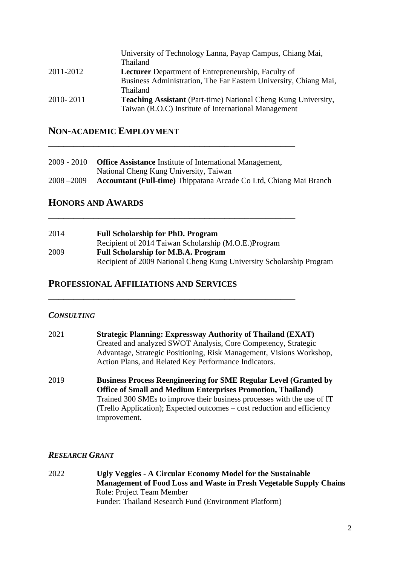|           | University of Technology Lanna, Payap Campus, Chiang Mai,             |
|-----------|-----------------------------------------------------------------------|
|           | <b>Thailand</b>                                                       |
| 2011-2012 | <b>Lecturer</b> Department of Entrepreneurship, Faculty of            |
|           | Business Administration, The Far Eastern University, Chiang Mai,      |
|           | <b>Thailand</b>                                                       |
| 2010-2011 | <b>Teaching Assistant</b> (Part-time) National Cheng Kung University, |
|           | Taiwan (R.O.C) Institute of International Management                  |

## **NON-ACADEMIC EMPLOYMENT**

| 2009 - 2010   | <b>Office Assistance</b> Institute of International Management,           |
|---------------|---------------------------------------------------------------------------|
|               | National Cheng Kung University, Taiwan                                    |
| $2008 - 2009$ | <b>Accountant (Full-time)</b> Thippatana Arcade Co Ltd, Chiang Mai Branch |

\_\_\_\_\_\_\_\_\_\_\_\_\_\_\_\_\_\_\_\_\_\_\_\_\_\_\_\_\_\_\_\_\_\_\_\_\_\_\_\_\_\_\_\_\_\_\_\_\_

\_\_\_\_\_\_\_\_\_\_\_\_\_\_\_\_\_\_\_\_\_\_\_\_\_\_\_\_\_\_\_\_\_\_\_\_\_\_\_\_\_\_\_\_\_\_\_\_\_

\_\_\_\_\_\_\_\_\_\_\_\_\_\_\_\_\_\_\_\_\_\_\_\_\_\_\_\_\_\_\_\_\_\_\_\_\_\_\_\_\_\_\_\_\_\_\_\_\_

#### **HONORS AND AWARDS**

| 2014 | <b>Full Scholarship for PhD. Program</b>                             |
|------|----------------------------------------------------------------------|
|      | Recipient of 2014 Taiwan Scholarship (M.O.E.) Program                |
| 2009 | <b>Full Scholarship for M.B.A. Program</b>                           |
|      | Recipient of 2009 National Cheng Kung University Scholarship Program |

#### **PROFESSIONAL AFFILIATIONS AND SERVICES**

#### *CONSULTING*

| 2021 | <b>Strategic Planning: Expressway Authority of Thailand (EXAT)</b><br>Created and analyzed SWOT Analysis, Core Competency, Strategic<br>Advantage, Strategic Positioning, Risk Management, Visions Workshop,<br>Action Plans, and Related Key Performance Indicators. |
|------|-----------------------------------------------------------------------------------------------------------------------------------------------------------------------------------------------------------------------------------------------------------------------|
| 2019 | <b>Business Process Reengineering for SME Regular Level (Granted by</b><br>Office of Small and Medium Enterprises Promotion Thailand)                                                                                                                                 |

**Office of Small and Medium Enterprises Promotion, Thailand)** Trained 300 SMEs to improve their business processes with the use of IT (Trello Application); Expected outcomes – cost reduction and efficiency improvement.

#### *RESEARCH GRANT*

2022 **Ugly Veggies - A Circular Economy Model for the Sustainable Management of Food Loss and Waste in Fresh Vegetable Supply Chains** Role: Project Team Member Funder: Thailand Research Fund (Environment Platform)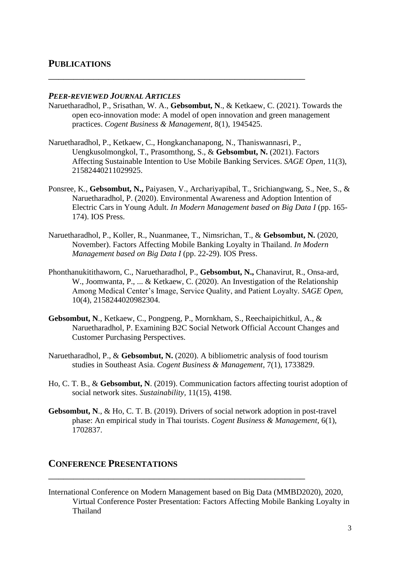#### **PUBLICATIONS**

#### *PEER-REVIEWED JOURNAL ARTICLES*

Naruetharadhol, P., Srisathan, W. A., **Gebsombut, N**., & Ketkaew, C. (2021). Towards the open eco-innovation mode: A model of open innovation and green management practices. *Cogent Business & Management*, 8(1), 1945425.

\_\_\_\_\_\_\_\_\_\_\_\_\_\_\_\_\_\_\_\_\_\_\_\_\_\_\_\_\_\_\_\_\_\_\_\_\_\_\_\_\_\_\_\_\_\_\_\_\_\_\_

- Naruetharadhol, P., Ketkaew, C., Hongkanchanapong, N., Thaniswannasri, P., Uengkusolmongkol, T., Prasomthong, S., & **Gebsombut, N.** (2021). Factors Affecting Sustainable Intention to Use Mobile Banking Services. *SAGE Open*, 11(3), 21582440211029925.
- Ponsree, K., **Gebsombut, N.,** Paiyasen, V., Archariyapibal, T., Srichiangwang, S., Nee, S., & Naruetharadhol, P. (2020). Environmental Awareness and Adoption Intention of Electric Cars in Young Adult. *In Modern Management based on Big Data I* (pp. 165- 174). IOS Press.
- Naruetharadhol, P., Koller, R., Nuanmanee, T., Nimsrichan, T., & **Gebsombut, N.** (2020, November). Factors Affecting Mobile Banking Loyalty in Thailand. *In Modern Management based on Big Data I* (pp. 22-29). IOS Press.
- Phonthanukitithaworn, C., Naruetharadhol, P., **Gebsombut, N.,** Chanavirut, R., Onsa-ard, W., Joomwanta, P., ... & Ketkaew, C. (2020). An Investigation of the Relationship Among Medical Center's Image, Service Quality, and Patient Loyalty*. SAGE Open,* 10(4), 2158244020982304.
- **Gebsombut, N**., Ketkaew, C., Pongpeng, P., Mornkham, S., Reechaipichitkul, A., & Naruetharadhol, P. Examining B2C Social Network Official Account Changes and Customer Purchasing Perspectives.
- Naruetharadhol, P., & **Gebsombut, N.** (2020). A bibliometric analysis of food tourism studies in Southeast Asia. *Cogent Business & Management*, 7(1), 1733829.
- Ho, C. T. B., & **Gebsombut, N**. (2019). Communication factors affecting tourist adoption of social network sites. *Sustainability,* 11(15), 4198.
- **Gebsombut, N**., & Ho, C. T. B. (2019). Drivers of social network adoption in post-travel phase: An empirical study in Thai tourists. *Cogent Business & Management*, 6(1), 1702837.

\_\_\_\_\_\_\_\_\_\_\_\_\_\_\_\_\_\_\_\_\_\_\_\_\_\_\_\_\_\_\_\_\_\_\_\_\_\_\_\_\_\_\_\_\_\_\_\_\_\_\_

### **CONFERENCE PRESENTATIONS**

International Conference on Modern Management based on Big Data (MMBD2020), 2020, Virtual Conference Poster Presentation: Factors Affecting Mobile Banking Loyalty in Thailand